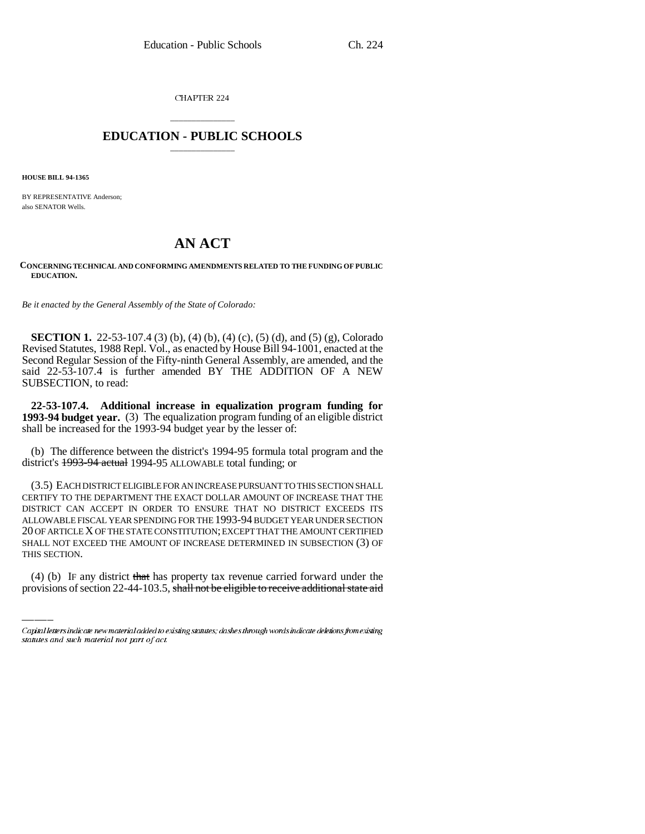CHAPTER 224

## \_\_\_\_\_\_\_\_\_\_\_\_\_\_\_ **EDUCATION - PUBLIC SCHOOLS** \_\_\_\_\_\_\_\_\_\_\_\_\_\_\_

**HOUSE BILL 94-1365**

BY REPRESENTATIVE Anderson; also SENATOR Wells.

## **AN ACT**

**CONCERNING TECHNICAL AND CONFORMING AMENDMENTS RELATED TO THE FUNDING OF PUBLIC EDUCATION.**

*Be it enacted by the General Assembly of the State of Colorado:*

**SECTION 1.** 22-53-107.4 (3) (b), (4) (b), (4) (c), (5) (d), and (5) (g), Colorado Revised Statutes, 1988 Repl. Vol., as enacted by House Bill 94-1001, enacted at the Second Regular Session of the Fifty-ninth General Assembly, are amended, and the said 22-53-107.4 is further amended BY THE ADDITION OF A NEW SUBSECTION, to read:

**22-53-107.4. Additional increase in equalization program funding for 1993-94 budget year.** (3) The equalization program funding of an eligible district shall be increased for the 1993-94 budget year by the lesser of:

(b) The difference between the district's 1994-95 formula total program and the district's 1993-94 actual 1994-95 ALLOWABLE total funding; or

SHALL NOT EXCEED THE AMOUNT OF INCREASE DETERMINED IN SUBSECTION (3) OF (3.5) EACH DISTRICT ELIGIBLE FOR AN INCREASE PURSUANT TO THIS SECTION SHALL CERTIFY TO THE DEPARTMENT THE EXACT DOLLAR AMOUNT OF INCREASE THAT THE DISTRICT CAN ACCEPT IN ORDER TO ENSURE THAT NO DISTRICT EXCEEDS ITS ALLOWABLE FISCAL YEAR SPENDING FOR THE 1993-94 BUDGET YEAR UNDER SECTION 20 OF ARTICLE X OF THE STATE CONSTITUTION; EXCEPT THAT THE AMOUNT CERTIFIED THIS SECTION.

(4) (b) IF any district that has property tax revenue carried forward under the provisions of section 22-44-103.5, shall not be eligible to receive additional state aid

Capital letters indicate new material added to existing statutes; dashes through words indicate deletions from existing statutes and such material not part of act.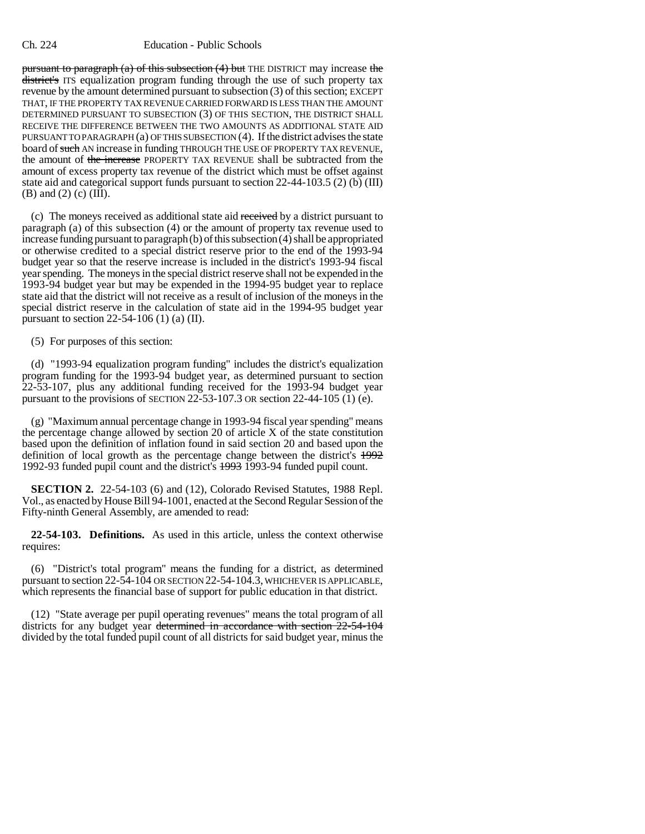pursuant to paragraph (a) of this subsection  $(4)$  but THE DISTRICT may increase the district's ITS equalization program funding through the use of such property tax revenue by the amount determined pursuant to subsection (3) of this section; EXCEPT THAT, IF THE PROPERTY TAX REVENUE CARRIED FORWARD IS LESS THAN THE AMOUNT DETERMINED PURSUANT TO SUBSECTION (3) OF THIS SECTION, THE DISTRICT SHALL RECEIVE THE DIFFERENCE BETWEEN THE TWO AMOUNTS AS ADDITIONAL STATE AID PURSUANT TO PARAGRAPH (a) OF THIS SUBSECTION (4). If the district advises the state board of such AN increase in funding THROUGH THE USE OF PROPERTY TAX REVENUE, the amount of the increase PROPERTY TAX REVENUE shall be subtracted from the amount of excess property tax revenue of the district which must be offset against state aid and categorical support funds pursuant to section 22-44-103.5 (2) (b) (III) (B) and (2) (c) (III).

(c) The moneys received as additional state aid received by a district pursuant to paragraph (a) of this subsection (4) or the amount of property tax revenue used to increase funding pursuant to paragraph (b) of this subsection (4) shall be appropriated or otherwise credited to a special district reserve prior to the end of the 1993-94 budget year so that the reserve increase is included in the district's 1993-94 fiscal year spending. The moneys in the special district reserve shall not be expended in the 1993-94 budget year but may be expended in the 1994-95 budget year to replace state aid that the district will not receive as a result of inclusion of the moneys in the special district reserve in the calculation of state aid in the 1994-95 budget year pursuant to section  $22-54-106$  (1) (a) (II).

(5) For purposes of this section:

(d) "1993-94 equalization program funding" includes the district's equalization program funding for the 1993-94 budget year, as determined pursuant to section 22-53-107, plus any additional funding received for the 1993-94 budget year pursuant to the provisions of SECTION 22-53-107.3 OR section 22-44-105  $(1)$  (e).

(g) "Maximum annual percentage change in 1993-94 fiscal year spending" means the percentage change allowed by section 20 of article X of the state constitution based upon the definition of inflation found in said section 20 and based upon the definition of local growth as the percentage change between the district's 1992 1992-93 funded pupil count and the district's 1993 1993-94 funded pupil count.

**SECTION 2.** 22-54-103 (6) and (12), Colorado Revised Statutes, 1988 Repl. Vol., as enacted by House Bill 94-1001, enacted at the Second Regular Session of the Fifty-ninth General Assembly, are amended to read:

**22-54-103. Definitions.** As used in this article, unless the context otherwise requires:

(6) "District's total program" means the funding for a district, as determined pursuant to section 22-54-104 OR SECTION 22-54-104.3, WHICHEVER IS APPLICABLE, which represents the financial base of support for public education in that district.

(12) "State average per pupil operating revenues" means the total program of all districts for any budget year determined in accordance with section 22-54-104 divided by the total funded pupil count of all districts for said budget year, minus the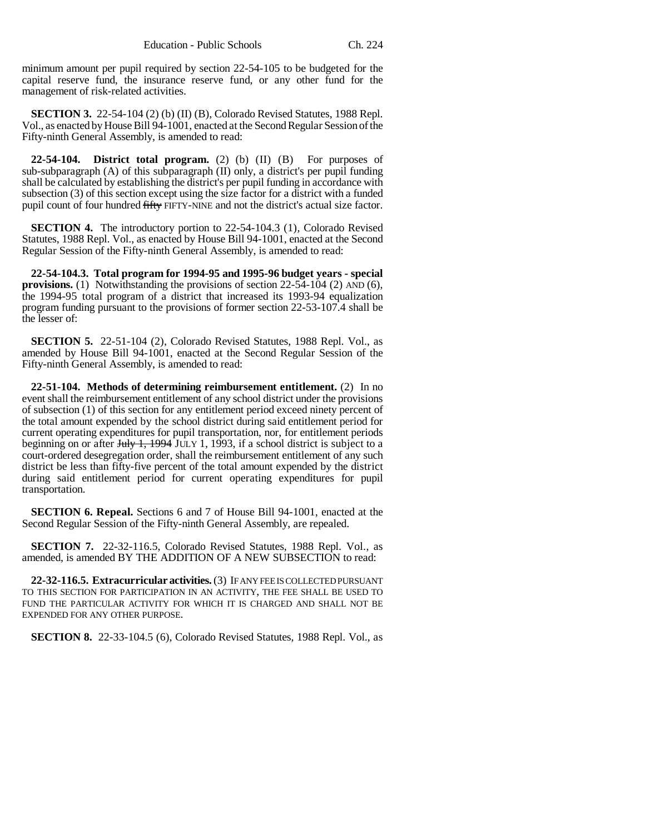minimum amount per pupil required by section 22-54-105 to be budgeted for the capital reserve fund, the insurance reserve fund, or any other fund for the management of risk-related activities.

**SECTION 3.** 22-54-104 (2) (b) (II) (B), Colorado Revised Statutes, 1988 Repl. Vol., as enacted by House Bill 94-1001, enacted at the Second Regular Session of the Fifty-ninth General Assembly, is amended to read:

**22-54-104. District total program.** (2) (b) (II) (B) For purposes of sub-subparagraph (A) of this subparagraph (II) only, a district's per pupil funding shall be calculated by establishing the district's per pupil funding in accordance with subsection (3) of this section except using the size factor for a district with a funded pupil count of four hundred fifty FIFTY-NINE and not the district's actual size factor.

**SECTION 4.** The introductory portion to 22-54-104.3 (1), Colorado Revised Statutes, 1988 Repl. Vol., as enacted by House Bill 94-1001, enacted at the Second Regular Session of the Fifty-ninth General Assembly, is amended to read:

**22-54-104.3. Total program for 1994-95 and 1995-96 budget years - special provisions.** (1) Notwithstanding the provisions of section 22-54-104 (2) AND (6), the 1994-95 total program of a district that increased its 1993-94 equalization program funding pursuant to the provisions of former section 22-53-107.4 shall be the lesser of:

**SECTION 5.** 22-51-104 (2), Colorado Revised Statutes, 1988 Repl. Vol., as amended by House Bill 94-1001, enacted at the Second Regular Session of the Fifty-ninth General Assembly, is amended to read:

**22-51-104. Methods of determining reimbursement entitlement.** (2) In no event shall the reimbursement entitlement of any school district under the provisions of subsection (1) of this section for any entitlement period exceed ninety percent of the total amount expended by the school district during said entitlement period for current operating expenditures for pupil transportation, nor, for entitlement periods beginning on or after  $J_{\text{t}}/J_{\text{t}}$  1, 1994 JULY 1, 1993, if a school district is subject to a court-ordered desegregation order, shall the reimbursement entitlement of any such district be less than fifty-five percent of the total amount expended by the district during said entitlement period for current operating expenditures for pupil transportation.

**SECTION 6. Repeal.** Sections 6 and 7 of House Bill 94-1001, enacted at the Second Regular Session of the Fifty-ninth General Assembly, are repealed.

**SECTION 7.** 22-32-116.5, Colorado Revised Statutes, 1988 Repl. Vol., as amended, is amended BY THE ADDITION OF A NEW SUBSECTION to read:

**22-32-116.5. Extracurricular activities.** (3) IF ANY FEE IS COLLECTED PURSUANT TO THIS SECTION FOR PARTICIPATION IN AN ACTIVITY, THE FEE SHALL BE USED TO FUND THE PARTICULAR ACTIVITY FOR WHICH IT IS CHARGED AND SHALL NOT BE EXPENDED FOR ANY OTHER PURPOSE.

**SECTION 8.** 22-33-104.5 (6), Colorado Revised Statutes, 1988 Repl. Vol., as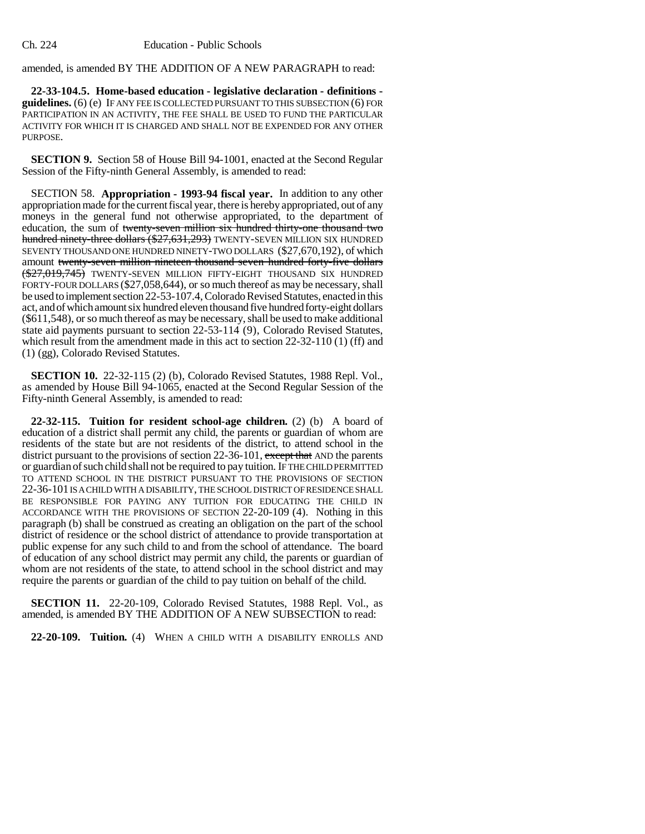amended, is amended BY THE ADDITION OF A NEW PARAGRAPH to read:

**22-33-104.5. Home-based education - legislative declaration - definitions guidelines.** (6) (e) IF ANY FEE IS COLLECTED PURSUANT TO THIS SUBSECTION (6) FOR PARTICIPATION IN AN ACTIVITY, THE FEE SHALL BE USED TO FUND THE PARTICULAR ACTIVITY FOR WHICH IT IS CHARGED AND SHALL NOT BE EXPENDED FOR ANY OTHER PURPOSE.

**SECTION 9.** Section 58 of House Bill 94-1001, enacted at the Second Regular Session of the Fifty-ninth General Assembly, is amended to read:

SECTION 58. **Appropriation - 1993-94 fiscal year.** In addition to any other appropriation made for the current fiscal year, there is hereby appropriated, out of any moneys in the general fund not otherwise appropriated, to the department of education, the sum of twenty-seven million six hundred thirty-one thousand two hundred ninety-three dollars (\$27,631,293) TWENTY-SEVEN MILLION SIX HUNDRED SEVENTY THOUSAND ONE HUNDRED NINETY-TWO DOLLARS (\$27,670,192), of which amount twenty-seven million nineteen thousand seven hundred forty-five dollars  $(\frac{$27,019,745)}{}$  TWENTY-SEVEN MILLION FIFTY-EIGHT THOUSAND SIX HUNDRED FORTY-FOUR DOLLARS (\$27,058,644), or so much thereof as may be necessary, shall be used to implement section 22-53-107.4, Colorado Revised Statutes, enacted in this act, and of which amount six hundred eleven thousand five hundred forty-eight dollars (\$611,548), or so much thereof as may be necessary, shall be used to make additional state aid payments pursuant to section 22-53-114 (9), Colorado Revised Statutes, which result from the amendment made in this act to section 22-32-110 (1) (ff) and (1) (gg), Colorado Revised Statutes.

**SECTION 10.** 22-32-115 (2) (b), Colorado Revised Statutes, 1988 Repl. Vol., as amended by House Bill 94-1065, enacted at the Second Regular Session of the Fifty-ninth General Assembly, is amended to read:

**22-32-115. Tuition for resident school-age children.** (2) (b) A board of education of a district shall permit any child, the parents or guardian of whom are residents of the state but are not residents of the district, to attend school in the district pursuant to the provisions of section 22-36-101, except that AND the parents or guardian of such child shall not be required to pay tuition. IF THE CHILD PERMITTED TO ATTEND SCHOOL IN THE DISTRICT PURSUANT TO THE PROVISIONS OF SECTION 22-36-101 IS A CHILD WITH A DISABILITY, THE SCHOOL DISTRICT OF RESIDENCE SHALL BE RESPONSIBLE FOR PAYING ANY TUITION FOR EDUCATING THE CHILD IN ACCORDANCE WITH THE PROVISIONS OF SECTION 22-20-109 (4). Nothing in this paragraph (b) shall be construed as creating an obligation on the part of the school district of residence or the school district of attendance to provide transportation at public expense for any such child to and from the school of attendance. The board of education of any school district may permit any child, the parents or guardian of whom are not residents of the state, to attend school in the school district and may require the parents or guardian of the child to pay tuition on behalf of the child.

**SECTION 11.** 22-20-109, Colorado Revised Statutes, 1988 Repl. Vol., as amended, is amended BY THE ADDITION OF A NEW SUBSECTION to read:

**22-20-109. Tuition.** (4) WHEN A CHILD WITH A DISABILITY ENROLLS AND